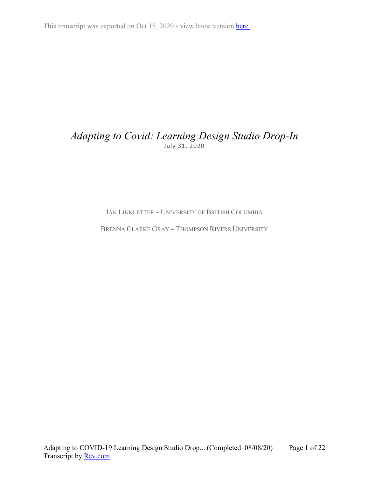This transcript was exported on Oct 15, 2020 - view latest version [here.](https://www.rev.com/transcript-editor/Edit?token=HqcWBHcDIiw1doQLxbQMQWMrem6G5gU_M-cpnMJvobwQQeZ2CIFiUa5fEtvnsT0EXnL4HwJE77yHxYSbA3yDkaUU3sk&loadFrom=DocumentHeaderDeepLink)

# *Adapting to Covid: Learning Design Studio Drop-In* July 31, 2020

IAN LINKLETTER – UNIVERSITY OF BRITISH COLUMBIA

BRENNA CLARKE GRAY – THOMPSON RIVERS UNIVERSITY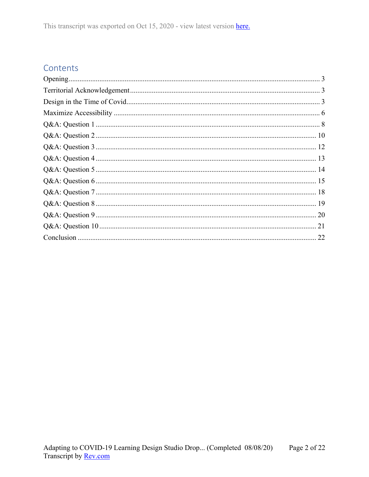# Contents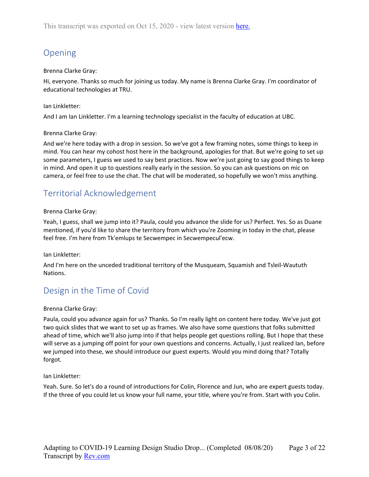# <span id="page-2-0"></span>Opening

# Brenna Clarke Gray:

Hi, everyone. Thanks so much for joining us today. My name is Brenna Clarke Gray. I'm coordinator of educational technologies at TRU.

# Ian Linkletter:

And I am Ian Linkletter. I'm a learning technology specialist in the faculty of education at UBC.

# Brenna Clarke Gray:

And we're here today with a drop in session. So we've got a few framing notes, some things to keep in mind. You can hear my cohost host here in the background, apologies for that. But we're going to set up some parameters, I guess we used to say best practices. Now we're just going to say good things to keep in mind. And open it up to questions really early in the session. So you can ask questions on mic on camera, or feel free to use the chat. The chat will be moderated, so hopefully we won't miss anything.

# <span id="page-2-1"></span>Territorial Acknowledgement

# Brenna Clarke Gray:

Yeah, I guess, shall we jump into it? Paula, could you advance the slide for us? Perfect. Yes. So as Duane mentioned, if you'd like to share the territory from which you're Zooming in today in the chat, please feel free. I'm here from Tk'emlups te Secwempec in Secwempecul'ecw.

Ian Linkletter:

And I'm here on the unceded traditional territory of the Musqueam, Squamish and Tsleil-Waututh Nations.

# <span id="page-2-2"></span>Design in the Time of Covid

Brenna Clarke Gray:

Paula, could you advance again for us? Thanks. So I'm really light on content here today. We've just got two quick slides that we want to set up as frames. We also have some questions that folks submitted ahead of time, which we'll also jump into if that helps people get questions rolling. But I hope that these will serve as a jumping off point for your own questions and concerns. Actually, I just realized Ian, before we jumped into these, we should introduce our guest experts. Would you mind doing that? Totally forgot.

Ian Linkletter:

Yeah. Sure. So let's do a round of introductions for Colin, Florence and Jun, who are expert guests today. If the three of you could let us know your full name, your title, where you're from. Start with you Colin.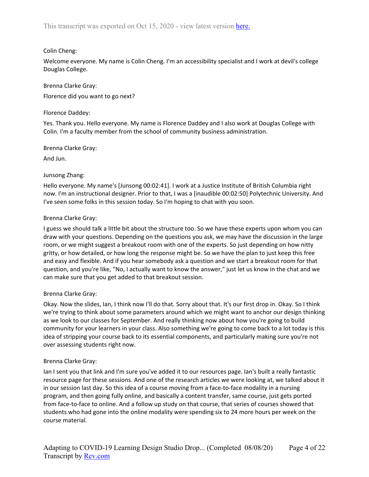# Colin Cheng:

Welcome everyone. My name is Colin Cheng. I'm an accessibility specialist and I work at devil's college Douglas College.

Brenna Clarke Gray: Florence did you want to go next?

### Florence Daddey:

Yes. Thank you. Hello everyone. My name is Florence Daddey and I also work at Douglas College with Colin. I'm a faculty member from the school of community business administration.

Brenna Clarke Gray:

And Jun.

# Junsong Zhang:

Hello everyone. My name's [Junsong 00:02:41]. I work at a Justice Institute of British Columbia right now. I'm an instructional designer. Prior to that, I was a [inaudible 00:02:50] Polytechnic University. And I've seen some folks in this session today. So I'm hoping to chat with you soon.

### Brenna Clarke Gray:

I guess we should talk a little bit about the structure too. So we have these experts upon whom you can draw with your questions. Depending on the questions you ask, we may have the discussion in the large room, or we might suggest a breakout room with one of the experts. So just depending on how nitty gritty, or how detailed, or how long the response might be. So we have the plan to just keep this free and easy and flexible. And if you hear somebody ask a question and we start a breakout room for that question, and you're like, "No, I actually want to know the answer," just let us know in the chat and we can make sure that you get added to that breakout session.

#### Brenna Clarke Gray:

Okay. Now the slides, Ian, I think now I'll do that. Sorry about that. It's our first drop in. Okay. So I think we're trying to think about some parameters around which we might want to anchor our design thinking as we look to our classes for September. And really thinking now about how you're going to build community for your learners in your class. Also something we're going to come back to a lot today is this idea of stripping your course back to its essential components, and particularly making sure you're not over assessing students right now.

#### Brenna Clarke Gray:

Ian I sent you that link and I'm sure you've added it to our resources page. Ian's built a really fantastic resource page for these sessions. And one of the research articles we were looking at, we talked about it in our session last day. So this idea of a course moving from a face-to-face modality in a nursing program, and then going fully online, and basically a content transfer, same course, just gets ported from face-to-face to online. And a follow up study on that course, that series of courses showed that students who had gone into the online modality were spending six to 24 more hours per week on the course material.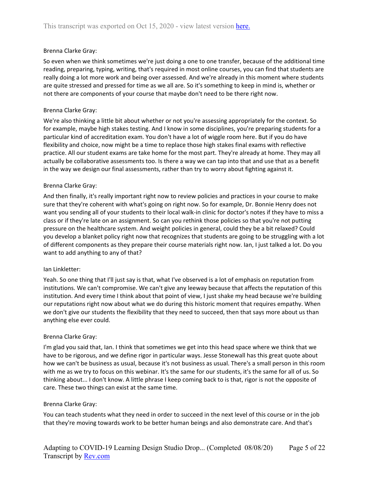So even when we think sometimes we're just doing a one to one transfer, because of the additional time reading, preparing, typing, writing, that's required in most online courses, you can find that students are really doing a lot more work and being over assessed. And we're already in this moment where students are quite stressed and pressed for time as we all are. So it's something to keep in mind is, whether or not there are components of your course that maybe don't need to be there right now.

#### Brenna Clarke Gray:

We're also thinking a little bit about whether or not you're assessing appropriately for the context. So for example, maybe high stakes testing. And I know in some disciplines, you're preparing students for a particular kind of accreditation exam. You don't have a lot of wiggle room here. But if you do have flexibility and choice, now might be a time to replace those high stakes final exams with reflective practice. All our student exams are take home for the most part. They're already at home. They may all actually be collaborative assessments too. Is there a way we can tap into that and use that as a benefit in the way we design our final assessments, rather than try to worry about fighting against it.

### Brenna Clarke Gray:

And then finally, it's really important right now to review policies and practices in your course to make sure that they're coherent with what's going on right now. So for example, Dr. Bonnie Henry does not want you sending all of your students to their local walk-in clinic for doctor's notes if they have to miss a class or if they're late on an assignment. So can you rethink those policies so that you're not putting pressure on the healthcare system. And weight policies in general, could they be a bit relaxed? Could you develop a blanket policy right now that recognizes that students are going to be struggling with a lot of different components as they prepare their course materials right now. Ian, I just talked a lot. Do you want to add anything to any of that?

#### Ian Linkletter:

Yeah. So one thing that I'll just say is that, what I've observed is a lot of emphasis on reputation from institutions. We can't compromise. We can't give any leeway because that affects the reputation of this institution. And every time I think about that point of view, I just shake my head because we're building our reputations right now about what we do during this historic moment that requires empathy. When we don't give our students the flexibility that they need to succeed, then that says more about us than anything else ever could.

#### Brenna Clarke Gray:

I'm glad you said that, Ian. I think that sometimes we get into this head space where we think that we have to be rigorous, and we define rigor in particular ways. Jesse Stonewall has this great quote about how we can't be business as usual, because it's not business as usual. There's a small person in this room with me as we try to focus on this webinar. It's the same for our students, it's the same for all of us. So thinking about... I don't know. A little phrase I keep coming back to is that, rigor is not the opposite of care. These two things can exist at the same time.

#### Brenna Clarke Gray:

You can teach students what they need in order to succeed in the next level of this course or in the job that they're moving towards work to be better human beings and also demonstrate care. And that's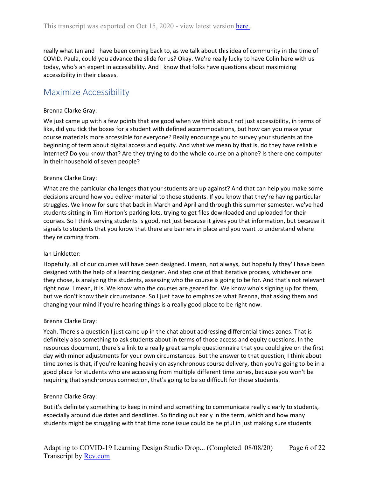really what Ian and I have been coming back to, as we talk about this idea of community in the time of COVID. Paula, could you advance the slide for us? Okay. We're really lucky to have Colin here with us today, who's an expert in accessibility. And I know that folks have questions about maximizing accessibility in their classes.

# <span id="page-5-0"></span>Maximize Accessibility

#### Brenna Clarke Gray:

We just came up with a few points that are good when we think about not just accessibility, in terms of like, did you tick the boxes for a student with defined accommodations, but how can you make your course materials more accessible for everyone? Really encourage you to survey your students at the beginning of term about digital access and equity. And what we mean by that is, do they have reliable internet? Do you know that? Are they trying to do the whole course on a phone? Is there one computer in their household of seven people?

#### Brenna Clarke Gray:

What are the particular challenges that your students are up against? And that can help you make some decisions around how you deliver material to those students. If you know that they're having particular struggles. We know for sure that back in March and April and through this summer semester, we've had students sitting in Tim Horton's parking lots, trying to get files downloaded and uploaded for their courses. So I think serving students is good, not just because it gives you that information, but because it signals to students that you know that there are barriers in place and you want to understand where they're coming from.

#### Ian Linkletter:

Hopefully, all of our courses will have been designed. I mean, not always, but hopefully they'll have been designed with the help of a learning designer. And step one of that iterative process, whichever one they chose, is analyzing the students, assessing who the course is going to be for. And that's not relevant right now. I mean, it is. We know who the courses are geared for. We know who's signing up for them, but we don't know their circumstance. So I just have to emphasize what Brenna, that asking them and changing your mind if you're hearing things is a really good place to be right now.

#### Brenna Clarke Gray:

Yeah. There's a question I just came up in the chat about addressing differential times zones. That is definitely also something to ask students about in terms of those access and equity questions. In the resources document, there's a link to a really great sample questionnaire that you could give on the first day with minor adjustments for your own circumstances. But the answer to that question, I think about time zones is that, if you're leaning heavily on asynchronous course delivery, then you're going to be in a good place for students who are accessing from multiple different time zones, because you won't be requiring that synchronous connection, that's going to be so difficult for those students.

#### Brenna Clarke Gray:

But it's definitely something to keep in mind and something to communicate really clearly to students, especially around due dates and deadlines. So finding out early in the term, which and how many students might be struggling with that time zone issue could be helpful in just making sure students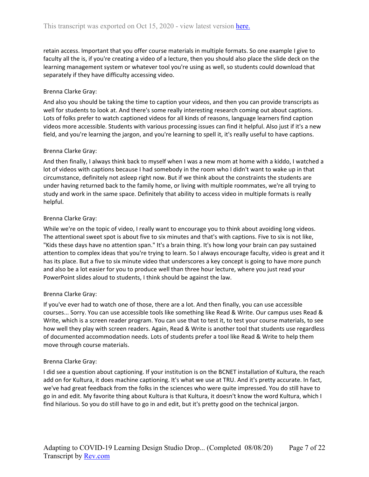retain access. Important that you offer course materials in multiple formats. So one example I give to faculty all the is, if you're creating a video of a lecture, then you should also place the slide deck on the learning management system or whatever tool you're using as well, so students could download that separately if they have difficulty accessing video.

### Brenna Clarke Gray:

And also you should be taking the time to caption your videos, and then you can provide transcripts as well for students to look at. And there's some really interesting research coming out about captions. Lots of folks prefer to watch captioned videos for all kinds of reasons, language learners find caption videos more accessible. Students with various processing issues can find it helpful. Also just if it's a new field, and you're learning the jargon, and you're learning to spell it, it's really useful to have captions.

### Brenna Clarke Gray:

And then finally, I always think back to myself when I was a new mom at home with a kiddo, I watched a lot of videos with captions because I had somebody in the room who I didn't want to wake up in that circumstance, definitely not asleep right now. But if we think about the constraints the students are under having returned back to the family home, or living with multiple roommates, we're all trying to study and work in the same space. Definitely that ability to access video in multiple formats is really helpful.

### Brenna Clarke Gray:

While we're on the topic of video, I really want to encourage you to think about avoiding long videos. The attentional sweet spot is about five to six minutes and that's with captions. Five to six is not like, "Kids these days have no attention span." It's a brain thing. It's how long your brain can pay sustained attention to complex ideas that you're trying to learn. So I always encourage faculty, video is great and it has its place. But a five to six minute video that underscores a key concept is going to have more punch and also be a lot easier for you to produce well than three hour lecture, where you just read your PowerPoint slides aloud to students, I think should be against the law.

#### Brenna Clarke Gray:

If you've ever had to watch one of those, there are a lot. And then finally, you can use accessible courses... Sorry. You can use accessible tools like something like Read & Write. Our campus uses Read & Write, which is a screen reader program. You can use that to test it, to test your course materials, to see how well they play with screen readers. Again, Read & Write is another tool that students use regardless of documented accommodation needs. Lots of students prefer a tool like Read & Write to help them move through course materials.

#### Brenna Clarke Gray:

I did see a question about captioning. If your institution is on the BCNET installation of Kultura, the reach add on for Kultura, it does machine captioning. It's what we use at TRU. And it's pretty accurate. In fact, we've had great feedback from the folks in the sciences who were quite impressed. You do still have to go in and edit. My favorite thing about Kultura is that Kultura, it doesn't know the word Kultura, which I find hilarious. So you do still have to go in and edit, but it's pretty good on the technical jargon.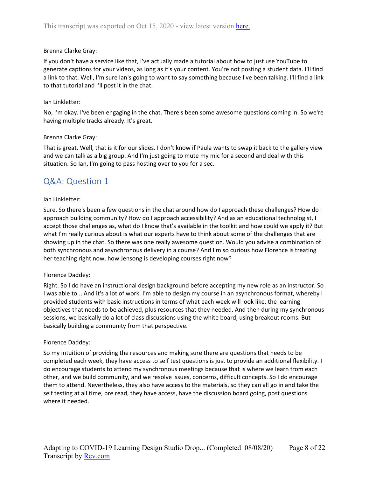If you don't have a service like that, I've actually made a tutorial about how to just use YouTube to generate captions for your videos, as long as it's your content. You're not posting a student data. I'll find a link to that. Well, I'm sure Ian's going to want to say something because I've been talking. I'll find a link to that tutorial and I'll post it in the chat.

#### Ian Linkletter:

No, I'm okay. I've been engaging in the chat. There's been some awesome questions coming in. So we're having multiple tracks already. It's great.

#### Brenna Clarke Gray:

That is great. Well, that is it for our slides. I don't know if Paula wants to swap it back to the gallery view and we can talk as a big group. And I'm just going to mute my mic for a second and deal with this situation. So Ian, I'm going to pass hosting over to you for a sec.

# <span id="page-7-0"></span>Q&A: Question 1

#### Ian Linkletter:

Sure. So there's been a few questions in the chat around how do I approach these challenges? How do I approach building community? How do I approach accessibility? And as an educational technologist, I accept those challenges as, what do I know that's available in the toolkit and how could we apply it? But what I'm really curious about is what our experts have to think about some of the challenges that are showing up in the chat. So there was one really awesome question. Would you advise a combination of both synchronous and asynchronous delivery in a course? And I'm so curious how Florence is treating her teaching right now, how Jensong is developing courses right now?

#### Florence Daddey:

Right. So I do have an instructional design background before accepting my new role as an instructor. So I was able to... And it's a lot of work. I'm able to design my course in an asynchronous format, whereby I provided students with basic instructions in terms of what each week will look like, the learning objectives that needs to be achieved, plus resources that they needed. And then during my synchronous sessions, we basically do a lot of class discussions using the white board, using breakout rooms. But basically building a community from that perspective.

#### Florence Daddey:

So my intuition of providing the resources and making sure there are questions that needs to be completed each week, they have access to self test questions is just to provide an additional flexibility. I do encourage students to attend my synchronous meetings because that is where we learn from each other, and we build community, and we resolve issues, concerns, difficult concepts. So I do encourage them to attend. Nevertheless, they also have access to the materials, so they can all go in and take the self testing at all time, pre read, they have access, have the discussion board going, post questions where it needed.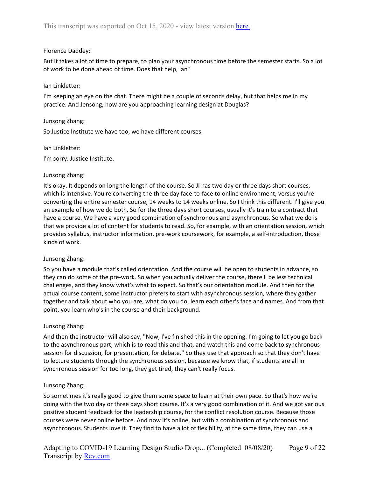### Florence Daddey:

But it takes a lot of time to prepare, to plan your asynchronous time before the semester starts. So a lot of work to be done ahead of time. Does that help, Ian?

### Ian Linkletter:

I'm keeping an eye on the chat. There might be a couple of seconds delay, but that helps me in my practice. And Jensong, how are you approaching learning design at Douglas?

#### Junsong Zhang:

So Justice Institute we have too, we have different courses.

#### Ian Linkletter:

I'm sorry. Justice Institute.

#### Junsong Zhang:

It's okay. It depends on long the length of the course. So JI has two day or three days short courses, which is intensive. You're converting the three day face-to-face to online environment, versus you're converting the entire semester course, 14 weeks to 14 weeks online. So I think this different. I'll give you an example of how we do both. So for the three days short courses, usually it's train to a contract that have a course. We have a very good combination of synchronous and asynchronous. So what we do is that we provide a lot of content for students to read. So, for example, with an orientation session, which provides syllabus, instructor information, pre-work coursework, for example, a self-introduction, those kinds of work.

#### Junsong Zhang:

So you have a module that's called orientation. And the course will be open to students in advance, so they can do some of the pre-work. So when you actually deliver the course, there'll be less technical challenges, and they know what's what to expect. So that's our orientation module. And then for the actual course content, some instructor prefers to start with asynchronous session, where they gather together and talk about who you are, what do you do, learn each other's face and names. And from that point, you learn who's in the course and their background.

#### Junsong Zhang:

And then the instructor will also say, "Now, I've finished this in the opening. I'm going to let you go back to the asynchronous part, which is to read this and that, and watch this and come back to synchronous session for discussion, for presentation, for debate." So they use that approach so that they don't have to lecture students through the synchronous session, because we know that, if students are all in synchronous session for too long, they get tired, they can't really focus.

# Junsong Zhang:

So sometimes it's really good to give them some space to learn at their own pace. So that's how we're doing with the two day or three days short course. It's a very good combination of it. And we got various positive student feedback for the leadership course, for the conflict resolution course. Because those courses were never online before. And now it's online, but with a combination of synchronous and asynchronous. Students love it. They find to have a lot of flexibility, at the same time, they can use a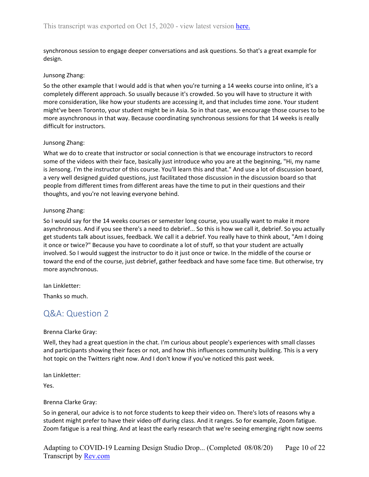synchronous session to engage deeper conversations and ask questions. So that's a great example for design.

#### Junsong Zhang:

So the other example that I would add is that when you're turning a 14 weeks course into online, it's a completely different approach. So usually because it's crowded. So you will have to structure it with more consideration, like how your students are accessing it, and that includes time zone. Your student might've been Toronto, your student might be in Asia. So in that case, we encourage those courses to be more asynchronous in that way. Because coordinating synchronous sessions for that 14 weeks is really difficult for instructors.

#### Junsong Zhang:

What we do to create that instructor or social connection is that we encourage instructors to record some of the videos with their face, basically just introduce who you are at the beginning, "Hi, my name is Jensong. I'm the instructor of this course. You'll learn this and that." And use a lot of discussion board, a very well designed guided questions, just facilitated those discussion in the discussion board so that people from different times from different areas have the time to put in their questions and their thoughts, and you're not leaving everyone behind.

#### Junsong Zhang:

So I would say for the 14 weeks courses or semester long course, you usually want to make it more asynchronous. And if you see there's a need to debrief... So this is how we call it, debrief. So you actually get students talk about issues, feedback. We call it a debrief. You really have to think about, "Am I doing it once or twice?" Because you have to coordinate a lot of stuff, so that your student are actually involved. So I would suggest the instructor to do it just once or twice. In the middle of the course or toward the end of the course, just debrief, gather feedback and have some face time. But otherwise, try more asynchronous.

Ian Linkletter:

<span id="page-9-0"></span>Thanks so much.

# Q&A: Question 2

#### Brenna Clarke Gray:

Well, they had a great question in the chat. I'm curious about people's experiences with small classes and participants showing their faces or not, and how this influences community building. This is a very hot topic on the Twitters right now. And I don't know if you've noticed this past week.

Ian Linkletter:

Yes.

#### Brenna Clarke Gray:

So in general, our advice is to not force students to keep their video on. There's lots of reasons why a student might prefer to have their video off during class. And it ranges. So for example, Zoom fatigue. Zoom fatigue is a real thing. And at least the early research that we're seeing emerging right now seems

Adapting to COVID-19 Learning Design Studio Drop... (Completed 08/08/20) Transcript by **Rev.com** Page 10 of 22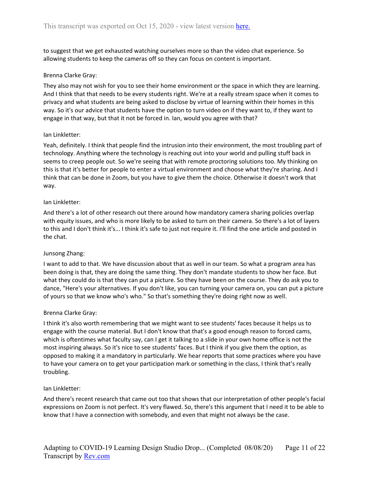to suggest that we get exhausted watching ourselves more so than the video chat experience. So allowing students to keep the cameras off so they can focus on content is important.

#### Brenna Clarke Gray:

They also may not wish for you to see their home environment or the space in which they are learning. And I think that that needs to be every students right. We're at a really stream space when it comes to privacy and what students are being asked to disclose by virtue of learning within their homes in this way. So it's our advice that students have the option to turn video on if they want to, if they want to engage in that way, but that it not be forced in. Ian, would you agree with that?

#### Ian Linkletter:

Yeah, definitely. I think that people find the intrusion into their environment, the most troubling part of technology. Anything where the technology is reaching out into your world and pulling stuff back in seems to creep people out. So we're seeing that with remote proctoring solutions too. My thinking on this is that it's better for people to enter a virtual environment and choose what they're sharing. And I think that can be done in Zoom, but you have to give them the choice. Otherwise it doesn't work that way.

#### Ian Linkletter:

And there's a lot of other research out there around how mandatory camera sharing policies overlap with equity issues, and who is more likely to be asked to turn on their camera. So there's a lot of layers to this and I don't think it's... I think it's safe to just not require it. I'll find the one article and posted in the chat.

#### Junsong Zhang:

I want to add to that. We have discussion about that as well in our team. So what a program area has been doing is that, they are doing the same thing. They don't mandate students to show her face. But what they could do is that they can put a picture. So they have been on the course. They do ask you to dance, "Here's your alternatives. If you don't like, you can turning your camera on, you can put a picture of yours so that we know who's who." So that's something they're doing right now as well.

#### Brenna Clarke Gray:

I think it's also worth remembering that we might want to see students' faces because it helps us to engage with the course material. But I don't know that that's a good enough reason to forced cams, which is oftentimes what faculty say, can I get it talking to a slide in your own home office is not the most inspiring always. So it's nice to see students' faces. But I think if you give them the option, as opposed to making it a mandatory in particularly. We hear reports that some practices where you have to have your camera on to get your participation mark or something in the class, I think that's really troubling.

#### Ian Linkletter:

And there's recent research that came out too that shows that our interpretation of other people's facial expressions on Zoom is not perfect. It's very flawed. So, there's this argument that I need it to be able to know that I have a connection with somebody, and even that might not always be the case.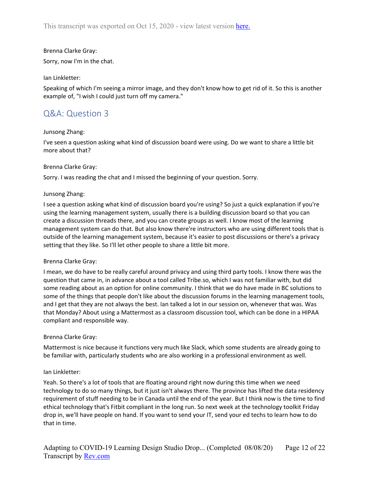Sorry, now I'm in the chat.

#### Ian Linkletter:

Speaking of which I'm seeing a mirror image, and they don't know how to get rid of it. So this is another example of, "I wish I could just turn off my camera."

# <span id="page-11-0"></span>Q&A: Question 3

### Junsong Zhang:

I've seen a question asking what kind of discussion board were using. Do we want to share a little bit more about that?

#### Brenna Clarke Gray:

Sorry. I was reading the chat and I missed the beginning of your question. Sorry.

### Junsong Zhang:

I see a question asking what kind of discussion board you're using? So just a quick explanation if you're using the learning management system, usually there is a building discussion board so that you can create a discussion threads there, and you can create groups as well. I know most of the learning management system can do that. But also know there're instructors who are using different tools that is outside of the learning management system, because it's easier to post discussions or there's a privacy setting that they like. So I'll let other people to share a little bit more.

#### Brenna Clarke Gray:

I mean, we do have to be really careful around privacy and using third party tools. I know there was the question that came in, in advance about a tool called Tribe.so, which I was not familiar with, but did some reading about as an option for online community. I think that we do have made in BC solutions to some of the things that people don't like about the discussion forums in the learning management tools, and I get that they are not always the best. Ian talked a lot in our session on, whenever that was. Was that Monday? About using a Mattermost as a classroom discussion tool, which can be done in a HIPAA compliant and responsible way.

#### Brenna Clarke Gray:

Mattermost is nice because it functions very much like Slack, which some students are already going to be familiar with, particularly students who are also working in a professional environment as well.

#### Ian Linkletter:

Yeah. So there's a lot of tools that are floating around right now during this time when we need technology to do so many things, but it just isn't always there. The province has lifted the data residency requirement of stuff needing to be in Canada until the end of the year. But I think now is the time to find ethical technology that's Fitbit compliant in the long run. So next week at the technology toolkit Friday drop in, we'll have people on hand. If you want to send your IT, send your ed techs to learn how to do that in time.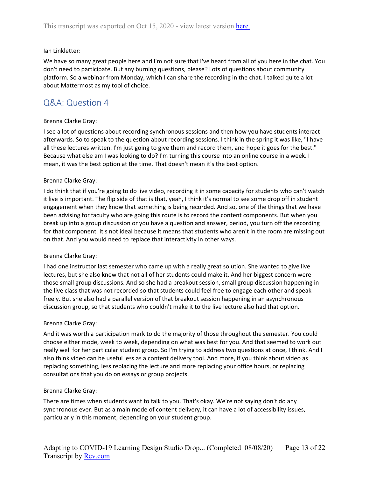#### Ian Linkletter:

We have so many great people here and I'm not sure that I've heard from all of you here in the chat. You don't need to participate. But any burning questions, please? Lots of questions about community platform. So a webinar from Monday, which I can share the recording in the chat. I talked quite a lot about Mattermost as my tool of choice.

# <span id="page-12-0"></span>Q&A: Question 4

#### Brenna Clarke Gray:

I see a lot of questions about recording synchronous sessions and then how you have students interact afterwards. So to speak to the question about recording sessions. I think in the spring it was like, "I have all these lectures written. I'm just going to give them and record them, and hope it goes for the best." Because what else am I was looking to do? I'm turning this course into an online course in a week. I mean, it was the best option at the time. That doesn't mean it's the best option.

### Brenna Clarke Gray:

I do think that if you're going to do live video, recording it in some capacity for students who can't watch it live is important. The flip side of that is that, yeah, I think it's normal to see some drop off in student engagement when they know that something is being recorded. And so, one of the things that we have been advising for faculty who are going this route is to record the content components. But when you break up into a group discussion or you have a question and answer, period, you turn off the recording for that component. It's not ideal because it means that students who aren't in the room are missing out on that. And you would need to replace that interactivity in other ways.

#### Brenna Clarke Gray:

I had one instructor last semester who came up with a really great solution. She wanted to give live lectures, but she also knew that not all of her students could make it. And her biggest concern were those small group discussions. And so she had a breakout session, small group discussion happening in the live class that was not recorded so that students could feel free to engage each other and speak freely. But she also had a parallel version of that breakout session happening in an asynchronous discussion group, so that students who couldn't make it to the live lecture also had that option.

#### Brenna Clarke Gray:

And it was worth a participation mark to do the majority of those throughout the semester. You could choose either mode, week to week, depending on what was best for you. And that seemed to work out really well for her particular student group. So I'm trying to address two questions at once, I think. And I also think video can be useful less as a content delivery tool. And more, if you think about video as replacing something, less replacing the lecture and more replacing your office hours, or replacing consultations that you do on essays or group projects.

#### Brenna Clarke Gray:

There are times when students want to talk to you. That's okay. We're not saying don't do any synchronous ever. But as a main mode of content delivery, it can have a lot of accessibility issues, particularly in this moment, depending on your student group.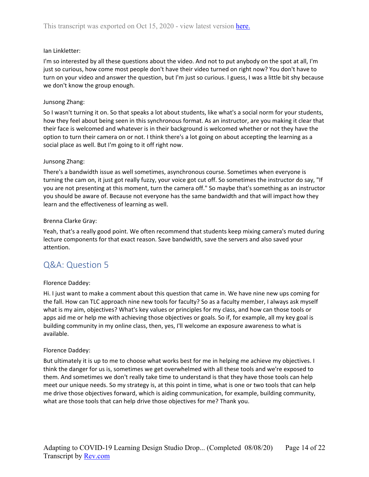#### Ian Linkletter:

I'm so interested by all these questions about the video. And not to put anybody on the spot at all, I'm just so curious, how come most people don't have their video turned on right now? You don't have to turn on your video and answer the question, but I'm just so curious. I guess, I was a little bit shy because we don't know the group enough.

### Junsong Zhang:

So I wasn't turning it on. So that speaks a lot about students, like what's a social norm for your students, how they feel about being seen in this synchronous format. As an instructor, are you making it clear that their face is welcomed and whatever is in their background is welcomed whether or not they have the option to turn their camera on or not. I think there's a lot going on about accepting the learning as a social place as well. But I'm going to it off right now.

### Junsong Zhang:

There's a bandwidth issue as well sometimes, asynchronous course. Sometimes when everyone is turning the cam on, it just got really fuzzy, your voice got cut off. So sometimes the instructor do say, "If you are not presenting at this moment, turn the camera off." So maybe that's something as an instructor you should be aware of. Because not everyone has the same bandwidth and that will impact how they learn and the effectiveness of learning as well.

#### Brenna Clarke Gray:

Yeah, that's a really good point. We often recommend that students keep mixing camera's muted during lecture components for that exact reason. Save bandwidth, save the servers and also saved your attention.

# <span id="page-13-0"></span>Q&A: Question 5

#### Florence Daddey:

Hi. I just want to make a comment about this question that came in. We have nine new ups coming for the fall. How can TLC approach nine new tools for faculty? So as a faculty member, I always ask myself what is my aim, objectives? What's key values or principles for my class, and how can those tools or apps aid me or help me with achieving those objectives or goals. So if, for example, all my key goal is building community in my online class, then, yes, I'll welcome an exposure awareness to what is available.

#### Florence Daddey:

But ultimately it is up to me to choose what works best for me in helping me achieve my objectives. I think the danger for us is, sometimes we get overwhelmed with all these tools and we're exposed to them. And sometimes we don't really take time to understand is that they have those tools can help meet our unique needs. So my strategy is, at this point in time, what is one or two tools that can help me drive those objectives forward, which is aiding communication, for example, building community, what are those tools that can help drive those objectives for me? Thank you.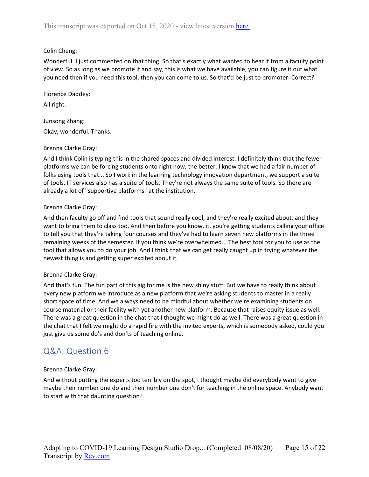# Colin Cheng:

Wonderful. I just commented on that thing. So that's exactly what wanted to hear it from a faculty point of view. So as long as we promote it and say, this is what we have available, you can figure it out what you need then if you need this tool, then you can come to us. So that'd be just to promoter. Correct?

Florence Daddey:

All right.

Junsong Zhang: Okay, wonderful. Thanks.

# Brenna Clarke Gray:

And I think Colin is typing this in the shared spaces and divided interest. I definitely think that the fewer platforms we can be forcing students onto right now, the better. I know that we had a fair number of folks using tools that... So I work in the learning technology innovation department, we support a suite of tools. IT services also has a suite of tools. They're not always the same suite of tools. So there are already a lot of "supportive platforms" at the institution.

# Brenna Clarke Gray:

And then faculty go off and find tools that sound really cool, and they're really excited about, and they want to bring them to class too. And then before you know, it, you're getting students calling your office to tell you that they're taking four courses and they've had to learn seven new platforms in the three remaining weeks of the semester. If you think we're overwhelmed... The best tool for you to use as the tool that allows you to do your job. And I think that we can get really caught up in trying whatever the newest thing is and getting super excited about it.

# Brenna Clarke Gray:

And that's fun. The fun part of this gig for me is the new shiny stuff. But we have to really think about every new platform we introduce as a new platform that we're asking students to master in a really short space of time. And we always need to be mindful about whether we're examining students on course material or their facility with yet another new platform. Because that raises equity issue as well. There was a great question in the chat that I thought we might do as well. There was a great question in the chat that I felt we might do a rapid fire with the invited experts, which is somebody asked, could you just give us some do's and don'ts of teaching online.

# <span id="page-14-0"></span>Q&A: Question 6

# Brenna Clarke Gray:

And without putting the experts too terribly on the spot, I thought maybe did everybody want to give maybe their number one do and their number one don't for teaching in the online space. Anybody want to start with that daunting question?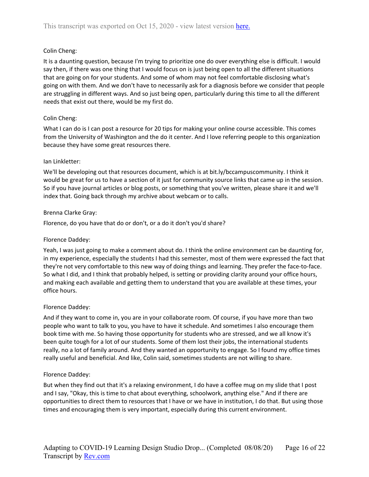# Colin Cheng:

It is a daunting question, because I'm trying to prioritize one do over everything else is difficult. I would say then, if there was one thing that I would focus on is just being open to all the different situations that are going on for your students. And some of whom may not feel comfortable disclosing what's going on with them. And we don't have to necessarily ask for a diagnosis before we consider that people are struggling in different ways. And so just being open, particularly during this time to all the different needs that exist out there, would be my first do.

# Colin Cheng:

What I can do is I can post a resource for 20 tips for making your online course accessible. This comes from the University of Washington and the do it center. And I love referring people to this organization because they have some great resources there.

### Ian Linkletter:

We'll be developing out that resources document, which is at bit.ly/bccampuscommunity. I think it would be great for us to have a section of it just for community source links that came up in the session. So if you have journal articles or blog posts, or something that you've written, please share it and we'll index that. Going back through my archive about webcam or to calls.

### Brenna Clarke Gray:

Florence, do you have that do or don't, or a do it don't you'd share?

### Florence Daddey:

Yeah, I was just going to make a comment about do. I think the online environment can be daunting for, in my experience, especially the students I had this semester, most of them were expressed the fact that they're not very comfortable to this new way of doing things and learning. They prefer the face-to-face. So what I did, and I think that probably helped, is setting or providing clarity around your office hours, and making each available and getting them to understand that you are available at these times, your office hours.

#### Florence Daddey:

And if they want to come in, you are in your collaborate room. Of course, if you have more than two people who want to talk to you, you have to have it schedule. And sometimes I also encourage them book time with me. So having those opportunity for students who are stressed, and we all know it's been quite tough for a lot of our students. Some of them lost their jobs, the international students really, no a lot of family around. And they wanted an opportunity to engage. So I found my office times really useful and beneficial. And like, Colin said, sometimes students are not willing to share.

# Florence Daddey:

But when they find out that it's a relaxing environment, I do have a coffee mug on my slide that I post and I say, "Okay, this is time to chat about everything, schoolwork, anything else." And if there are opportunities to direct them to resources that I have or we have in institution, I do that. But using those times and encouraging them is very important, especially during this current environment.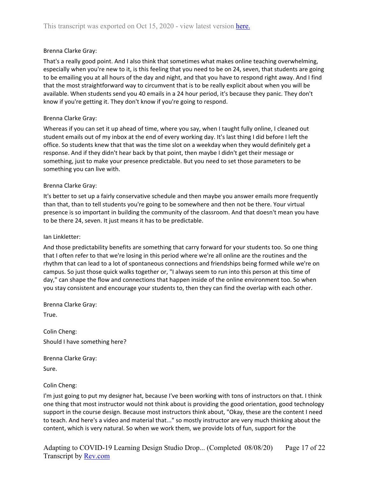That's a really good point. And I also think that sometimes what makes online teaching overwhelming, especially when you're new to it, is this feeling that you need to be on 24, seven, that students are going to be emailing you at all hours of the day and night, and that you have to respond right away. And I find that the most straightforward way to circumvent that is to be really explicit about when you will be available. When students send you 40 emails in a 24 hour period, it's because they panic. They don't know if you're getting it. They don't know if you're going to respond.

#### Brenna Clarke Gray:

Whereas if you can set it up ahead of time, where you say, when I taught fully online, I cleaned out student emails out of my inbox at the end of every working day. It's last thing I did before I left the office. So students knew that that was the time slot on a weekday when they would definitely get a response. And if they didn't hear back by that point, then maybe I didn't get their message or something, just to make your presence predictable. But you need to set those parameters to be something you can live with.

### Brenna Clarke Gray:

It's better to set up a fairly conservative schedule and then maybe you answer emails more frequently than that, than to tell students you're going to be somewhere and then not be there. Your virtual presence is so important in building the community of the classroom. And that doesn't mean you have to be there 24, seven. It just means it has to be predictable.

#### Ian Linkletter:

And those predictability benefits are something that carry forward for your students too. So one thing that I often refer to that we're losing in this period where we're all online are the routines and the rhythm that can lead to a lot of spontaneous connections and friendships being formed while we're on campus. So just those quick walks together or, "I always seem to run into this person at this time of day," can shape the flow and connections that happen inside of the online environment too. So when you stay consistent and encourage your students to, then they can find the overlap with each other.

Brenna Clarke Gray:

True.

Colin Cheng: Should I have something here?

Brenna Clarke Gray:

Sure.

#### Colin Cheng:

I'm just going to put my designer hat, because I've been working with tons of instructors on that. I think one thing that most instructor would not think about is providing the good orientation, good technology support in the course design. Because most instructors think about, "Okay, these are the content I need to teach. And here's a video and material that..." so mostly instructor are very much thinking about the content, which is very natural. So when we work them, we provide lots of fun, support for the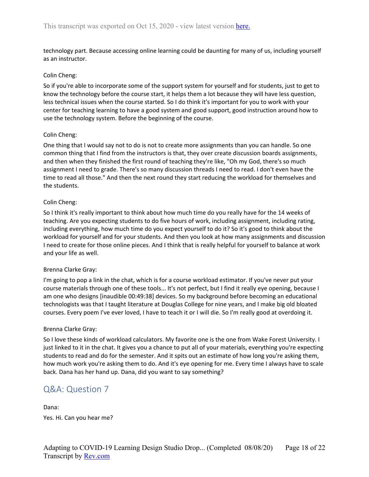technology part. Because accessing online learning could be daunting for many of us, including yourself as an instructor.

### Colin Cheng:

So if you're able to incorporate some of the support system for yourself and for students, just to get to know the technology before the course start, it helps them a lot because they will have less question, less technical issues when the course started. So I do think it's important for you to work with your center for teaching learning to have a good system and good support, good instruction around how to use the technology system. Before the beginning of the course.

### Colin Cheng:

One thing that I would say not to do is not to create more assignments than you can handle. So one common thing that I find from the instructors is that, they over create discussion boards assignments, and then when they finished the first round of teaching they're like, "Oh my God, there's so much assignment I need to grade. There's so many discussion threads I need to read. I don't even have the time to read all those." And then the next round they start reducing the workload for themselves and the students.

### Colin Cheng:

So I think it's really important to think about how much time do you really have for the 14 weeks of teaching. Are you expecting students to do five hours of work, including assignment, including rating, including everything, how much time do you expect yourself to do it? So it's good to think about the workload for yourself and for your students. And then you look at how many assignments and discussion I need to create for those online pieces. And I think that is really helpful for yourself to balance at work and your life as well.

# Brenna Clarke Gray:

I'm going to pop a link in the chat, which is for a course workload estimator. If you've never put your course materials through one of these tools... It's not perfect, but I find it really eye opening, because I am one who designs [inaudible 00:49:38] devices. So my background before becoming an educational technologists was that I taught literature at Douglas College for nine years, and I make big old bloated courses. Every poem I've ever loved, I have to teach it or I will die. So I'm really good at overdoing it.

#### Brenna Clarke Gray:

So I love these kinds of workload calculators. My favorite one is the one from Wake Forest University. I just linked to it in the chat. It gives you a chance to put all of your materials, everything you're expecting students to read and do for the semester. And it spits out an estimate of how long you're asking them, how much work you're asking them to do. And it's eye opening for me. Every time I always have to scale back. Dana has her hand up. Dana, did you want to say something?

# <span id="page-17-0"></span>Q&A: Question 7

Dana: Yes. Hi. Can you hear me?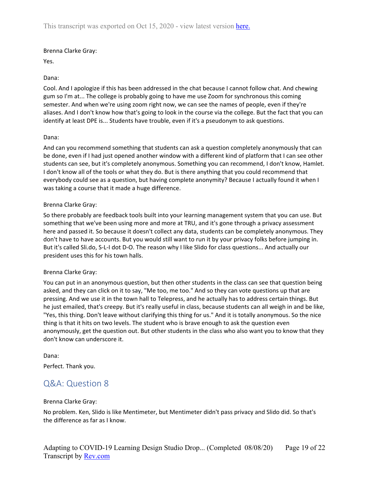### Yes.

# Dana:

Cool. And I apologize if this has been addressed in the chat because I cannot follow chat. And chewing gum so I'm at... The college is probably going to have me use Zoom for synchronous this coming semester. And when we're using zoom right now, we can see the names of people, even if they're aliases. And I don't know how that's going to look in the course via the college. But the fact that you can identify at least DPE is... Students have trouble, even if it's a pseudonym to ask questions.

### Dana:

And can you recommend something that students can ask a question completely anonymously that can be done, even if I had just opened another window with a different kind of platform that I can see other students can see, but it's completely anonymous. Something you can recommend, I don't know, Hamlet. I don't know all of the tools or what they do. But is there anything that you could recommend that everybody could see as a question, but having complete anonymity? Because I actually found it when I was taking a course that it made a huge difference.

### Brenna Clarke Gray:

So there probably are feedback tools built into your learning management system that you can use. But something that we've been using more and more at TRU, and it's gone through a privacy assessment here and passed it. So because it doesn't collect any data, students can be completely anonymous. They don't have to have accounts. But you would still want to run it by your privacy folks before jumping in. But it's called Sli.do, S-L-I dot D-O. The reason why I like Slido for class questions... And actually our president uses this for his town halls.

# Brenna Clarke Gray:

You can put in an anonymous question, but then other students in the class can see that question being asked, and they can click on it to say, "Me too, me too." And so they can vote questions up that are pressing. And we use it in the town hall to Telepress, and he actually has to address certain things. But he just emailed, that's creepy. But it's really useful in class, because students can all weigh in and be like, "Yes, this thing. Don't leave without clarifying this thing for us." And it is totally anonymous. So the nice thing is that it hits on two levels. The student who is brave enough to ask the question even anonymously, get the question out. But other students in the class who also want you to know that they don't know can underscore it.

Dana:

<span id="page-18-0"></span>Perfect. Thank you.

# Q&A: Question 8

#### Brenna Clarke Gray:

No problem. Ken, Slido is like Mentimeter, but Mentimeter didn't pass privacy and Slido did. So that's the difference as far as I know.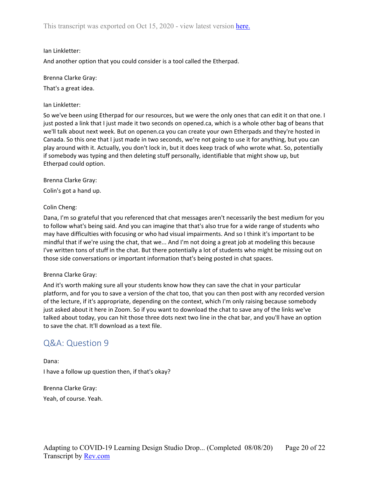# Ian Linkletter:

And another option that you could consider is a tool called the Etherpad.

### Brenna Clarke Gray:

That's a great idea.

### Ian Linkletter:

So we've been using Etherpad for our resources, but we were the only ones that can edit it on that one. I just posted a link that I just made it two seconds on opened.ca, which is a whole other bag of beans that we'll talk about next week. But on openen.ca you can create your own Etherpads and they're hosted in Canada. So this one that I just made in two seconds, we're not going to use it for anything, but you can play around with it. Actually, you don't lock in, but it does keep track of who wrote what. So, potentially if somebody was typing and then deleting stuff personally, identifiable that might show up, but Etherpad could option.

# Brenna Clarke Gray:

Colin's got a hand up.

# Colin Cheng:

Dana, I'm so grateful that you referenced that chat messages aren't necessarily the best medium for you to follow what's being said. And you can imagine that that's also true for a wide range of students who may have difficulties with focusing or who had visual impairments. And so I think it's important to be mindful that if we're using the chat, that we... And I'm not doing a great job at modeling this because I've written tons of stuff in the chat. But there potentially a lot of students who might be missing out on those side conversations or important information that's being posted in chat spaces.

# Brenna Clarke Gray:

And it's worth making sure all your students know how they can save the chat in your particular platform, and for you to save a version of the chat too, that you can then post with any recorded version of the lecture, if it's appropriate, depending on the context, which I'm only raising because somebody just asked about it here in Zoom. So if you want to download the chat to save any of the links we've talked about today, you can hit those three dots next two line in the chat bar, and you'll have an option to save the chat. It'll download as a text file.

# <span id="page-19-0"></span>Q&A: Question 9

Dana: I have a follow up question then, if that's okay?

Brenna Clarke Gray:

Yeah, of course. Yeah.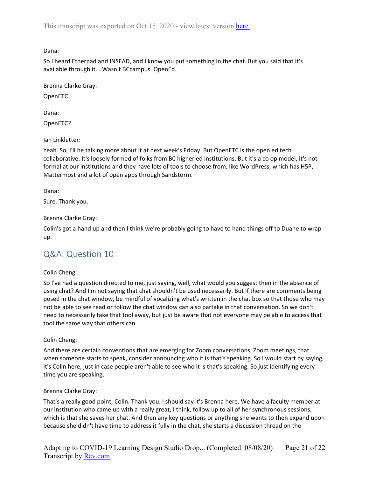Dana:

So I heard Etherpad and INSEAD, and I know you put something in the chat. But you said that it's available through it... Wasn't BCcampus. OpenEd.

Brenna Clarke Gray:

OpenETC.

Dana:

OpenETC?

Ian Linkletter:

Yeah. So, I'll be talking more about it at next week's Friday. But OpenETC is the open ed tech collaborative. It's loosely formed of folks from BC higher ed institutions. But it's a co op model, it's not formal at our institutions and they have lots of tools to choose from, like WordPress, which has H5P, Mattermost and a lot of open apps through Sandstorm.

Dana:

Sure. Thank you.

Brenna Clarke Gray:

Colin's got a hand up and then I think we're probably going to have to hand things off to Duane to wrap up.

# <span id="page-20-0"></span>Q&A: Question 10

# Colin Cheng:

So I've had a question directed to me, just saying, well, what would you suggest then in the absence of using chat? And I'm not saying that chat shouldn't be used necessarily. But if there are comments being posed in the chat window, be mindful of vocalizing what's written in the chat box so that those who may not be able to see read or follow the chat window can also partake in that conversation. So we don't need to necessarily take that tool away, but just be aware that not everyone may be able to access that tool the same way that others can.

# Colin Cheng:

And there are certain conventions that are emerging for Zoom conversations, Zoom meetings, that when someone starts to speak, consider announcing who it is that's speaking. So I would start by saying, it's Colin here, just in case people aren't able to see who it is that's speaking. So just identifying every time you are speaking.

# Brenna Clarke Gray:

That's a really good point, Colin. Thank you. I should say it's Brenna here. We have a faculty member at our institution who came up with a really great, I think, follow up to all of her synchronous sessions, which is that she saves her chat. And then any key questions or anything she wants to then expand upon because she didn't have time to address it fully in the chat, she starts a discussion thread on the